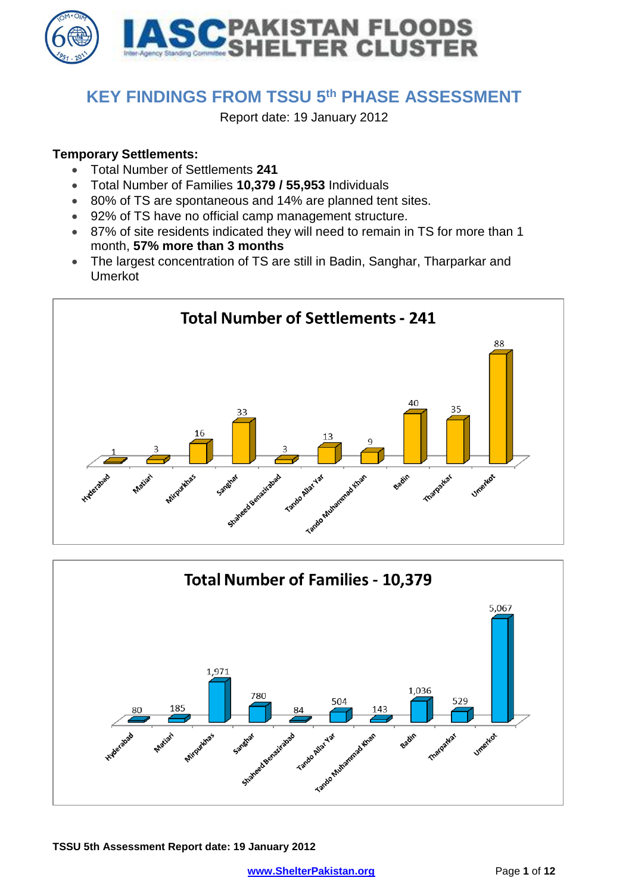

## **KEY FINDINGS FROM TSSU 5 th PHASE ASSESSMENT**

Report date: 19 January 2012

## **Temporary Settlements:**

- Total Number of Settlements **241**
- Total Number of Families **10,379 / 55,953** Individuals
- 80% of TS are spontaneous and 14% are planned tent sites.
- 92% of TS have no official camp management structure.
- 87% of site residents indicated they will need to remain in TS for more than 1 month, **57% more than 3 months**
- The largest concentration of TS are still in Badin, Sanghar, Tharparkar and Umerkot



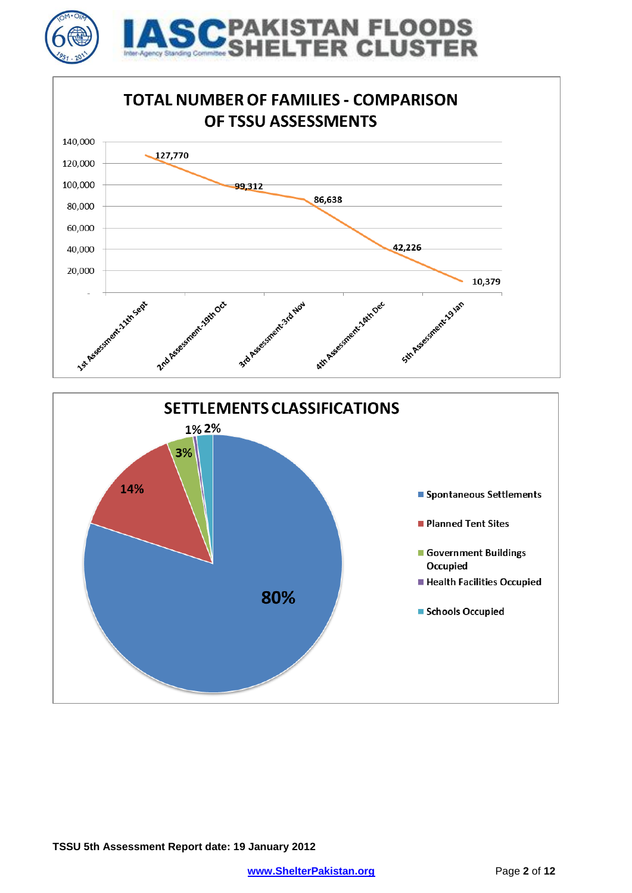



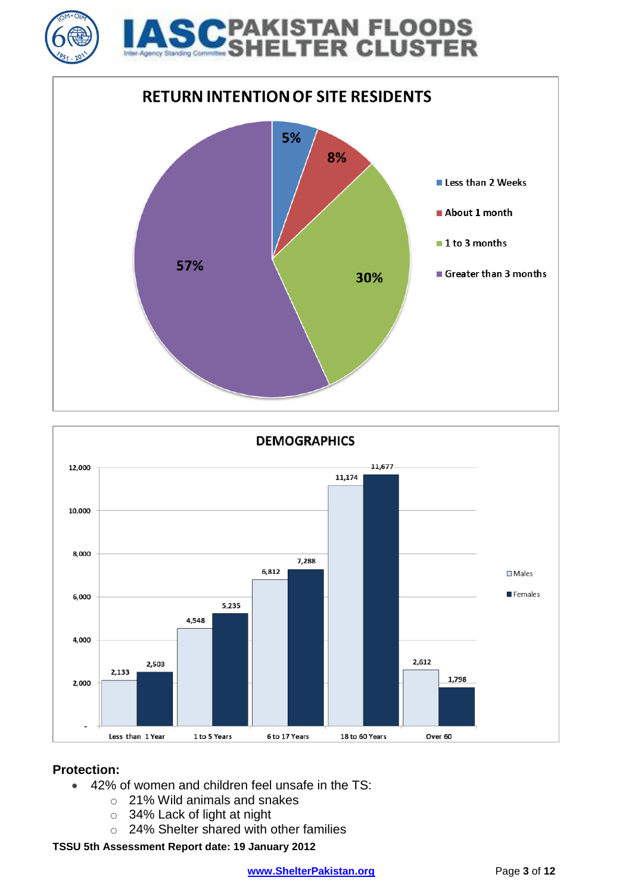





## **Protection:**

- 42% of women and children feel unsafe in the TS:
	- o 21% Wild animals and snakes
	- o 34% Lack of light at night
	- o 24% Shelter shared with other families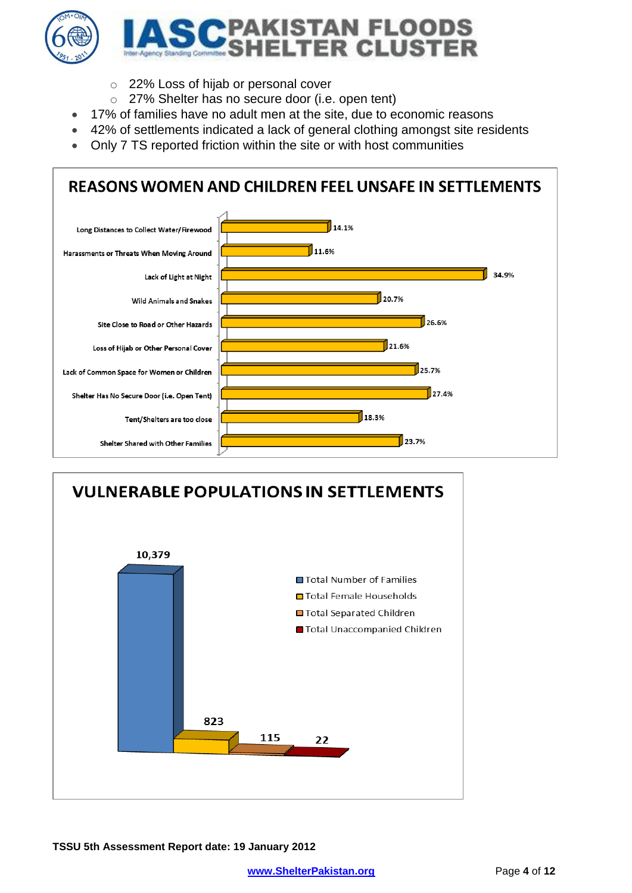

- o 22% Loss of hijab or personal cover
- o 27% Shelter has no secure door (i.e. open tent)
- 17% of families have no adult men at the site, due to economic reasons
- 42% of settlements indicated a lack of general clothing amongst site residents
- Only 7 TS reported friction within the site or with host communities



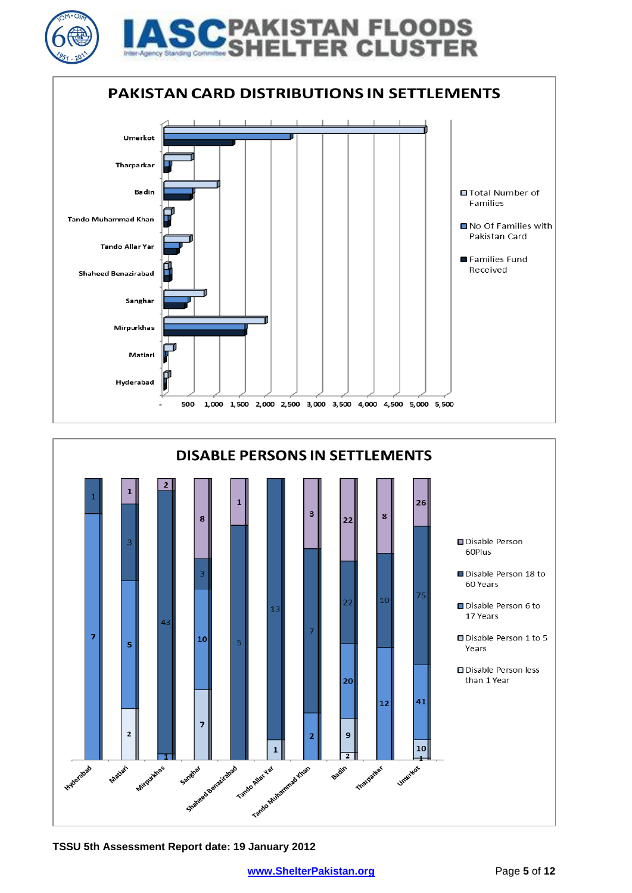

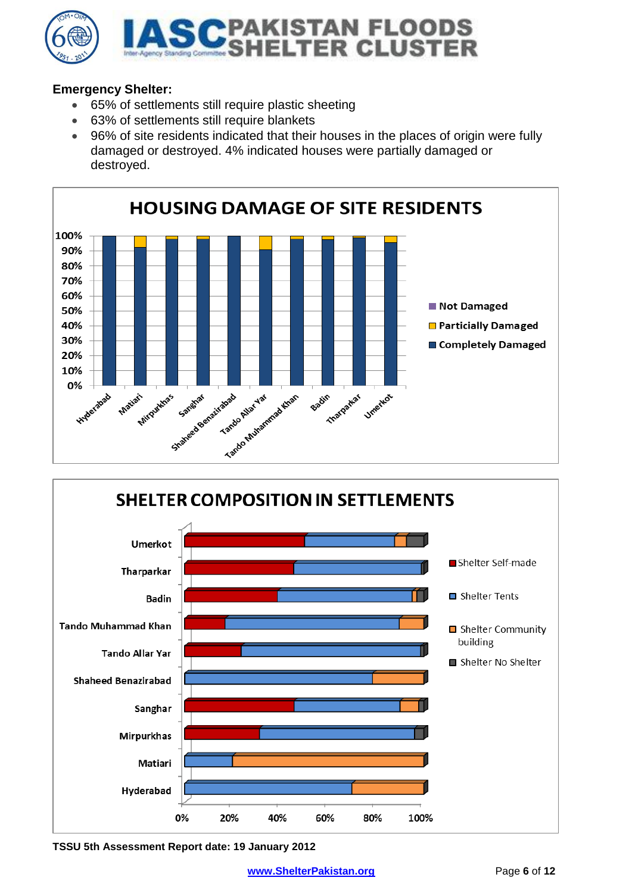

## **Emergency Shelter:**

- 65% of settlements still require plastic sheeting
- 63% of settlements still require blankets
- 96% of site residents indicated that their houses in the places of origin were fully damaged or destroyed. 4% indicated houses were partially damaged or destroyed.



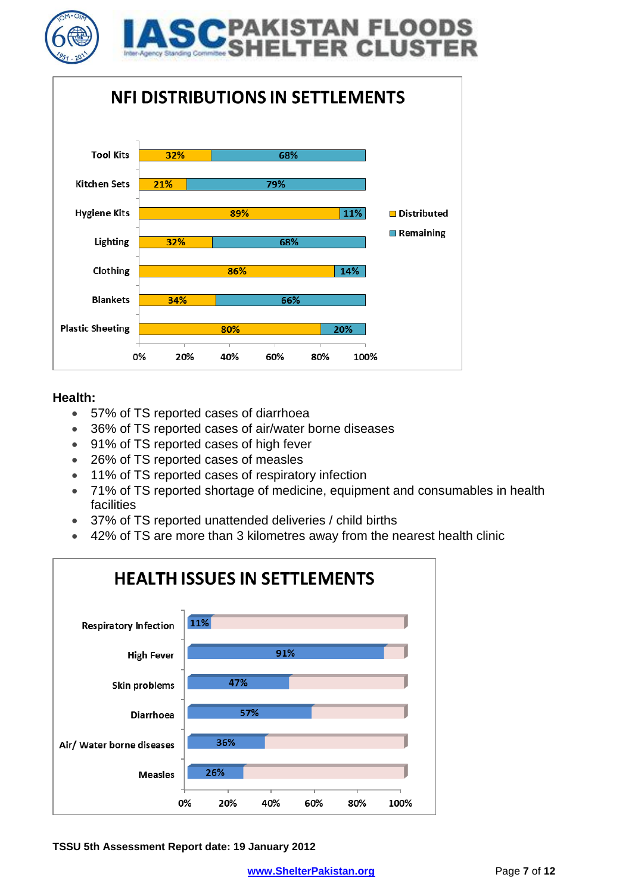



#### **Health:**

- 57% of TS reported cases of diarrhoea
- 36% of TS reported cases of air/water borne diseases
- 91% of TS reported cases of high fever
- 26% of TS reported cases of measles
- 11% of TS reported cases of respiratory infection
- 71% of TS reported shortage of medicine, equipment and consumables in health facilities
- 37% of TS reported unattended deliveries / child births
- 42% of TS are more than 3 kilometres away from the nearest health clinic

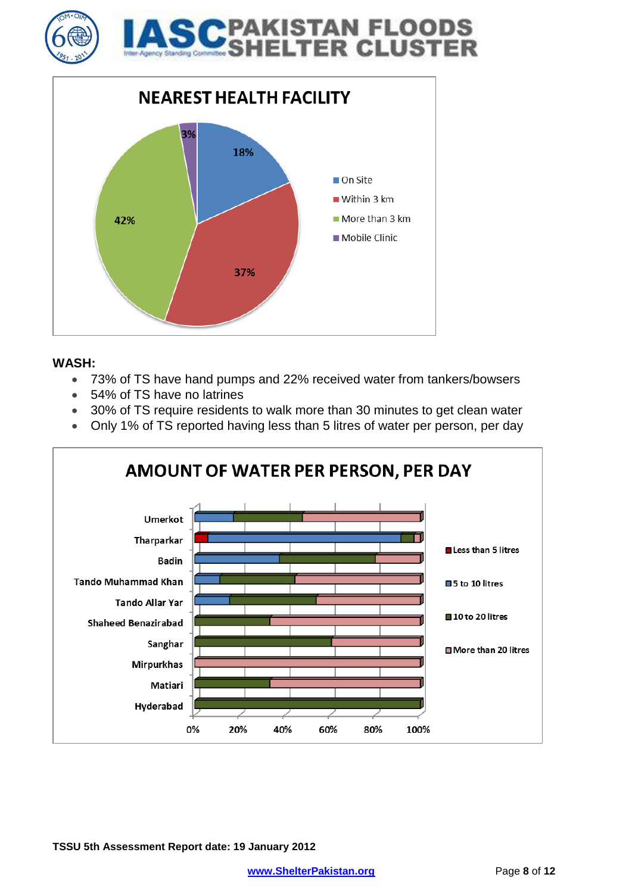



#### **WASH:**

- 73% of TS have hand pumps and 22% received water from tankers/bowsers
- 54% of TS have no latrines
- 30% of TS require residents to walk more than 30 minutes to get clean water
- Only 1% of TS reported having less than 5 litres of water per person, per day

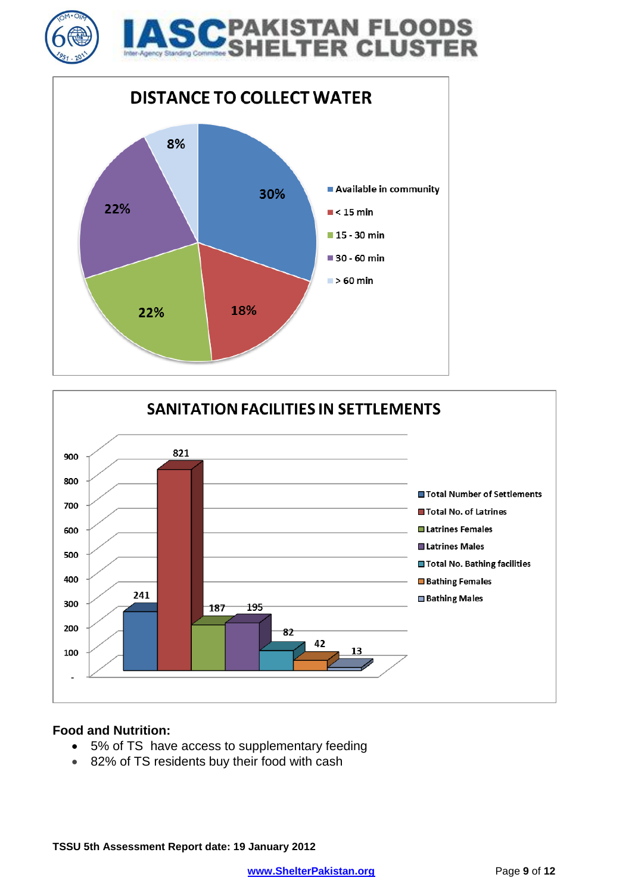





#### **Food and Nutrition:**

- 5% of TS have access to supplementary feeding
- 82% of TS residents buy their food with cash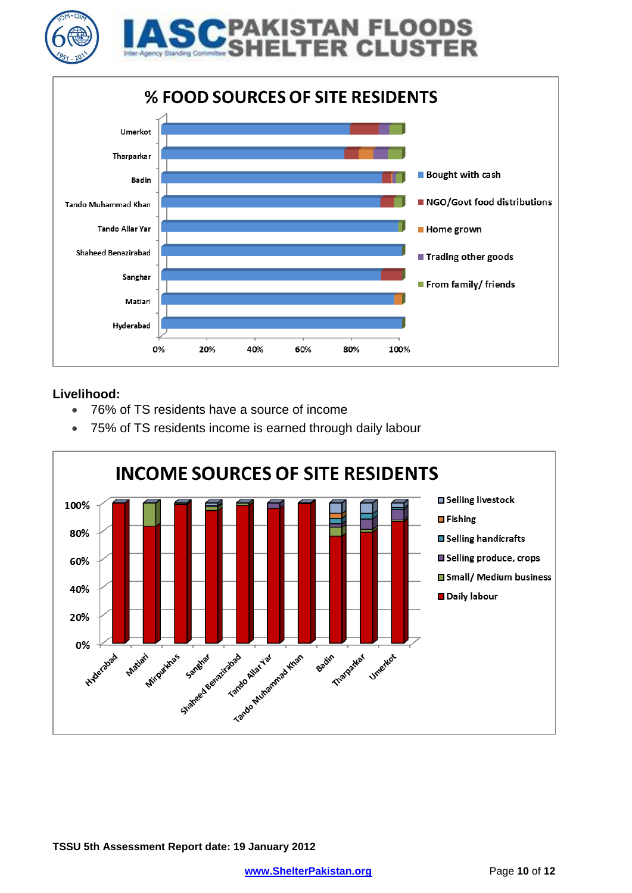



**ER CLUS'** 

#### **Livelihood:**

- 76% of TS residents have a source of income
- 75% of TS residents income is earned through daily labour

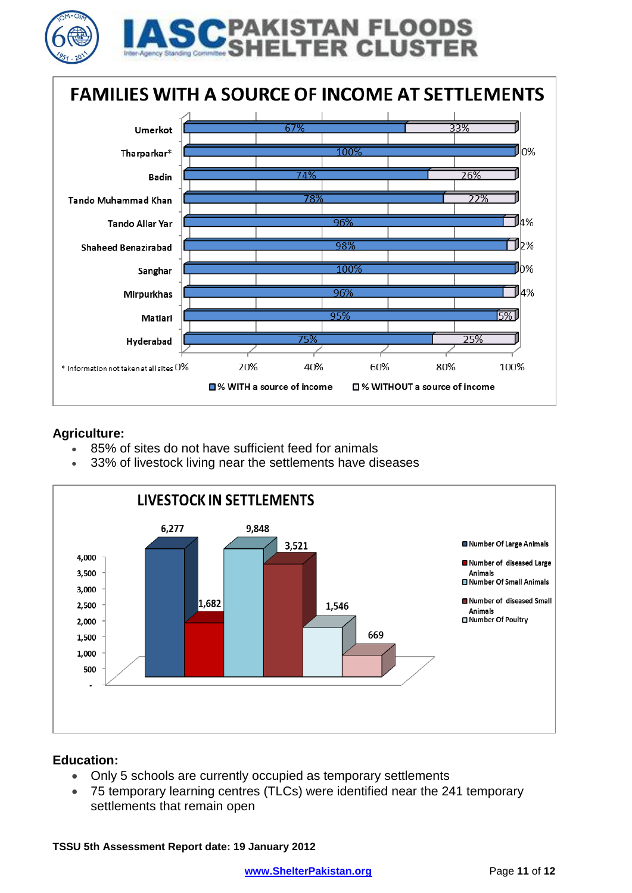



#### **Agriculture:**

ļ

- 85% of sites do not have sufficient feed for animals
- 33% of livestock living near the settlements have diseases



#### **Education:**

- Only 5 schools are currently occupied as temporary settlements
- 75 temporary learning centres (TLCs) were identified near the 241 temporary settlements that remain open